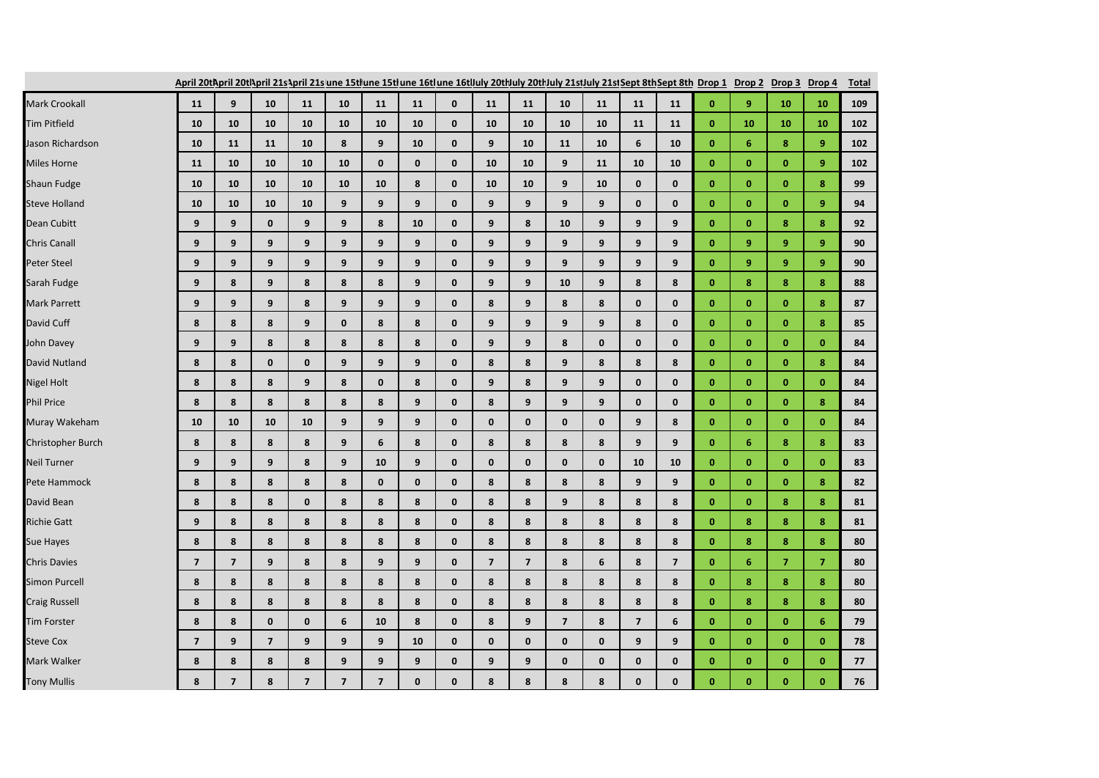|                      | April 20tl\pril 20tl\pril 21s\pril 21sune 15tlune 15tlune 16tlune 16tluly 20tluly 20tluly 21stluly 21stSept 8thSept 8th Drop 1 Drop 2 Drop 3 Drop 4 |                         |                |                         |                         |                         |              |              |                         |                         |                |             |                |                         |              |                  |                |                | <b>Total</b> |
|----------------------|-----------------------------------------------------------------------------------------------------------------------------------------------------|-------------------------|----------------|-------------------------|-------------------------|-------------------------|--------------|--------------|-------------------------|-------------------------|----------------|-------------|----------------|-------------------------|--------------|------------------|----------------|----------------|--------------|
| Mark Crookall        | 11                                                                                                                                                  | 9                       | 10             | 11                      | 10                      | 11                      | 11           | $\mathbf{0}$ | 11                      | 11                      | 10             | 11          | 11             | 11                      | $\mathbf{0}$ | 9                | 10             | 10             | 109          |
| <b>Tim Pitfield</b>  | 10                                                                                                                                                  | 10                      | 10             | 10                      | 10                      | 10                      | 10           | $\mathbf{0}$ | 10                      | 10                      | 10             | 10          | 11             | 11                      | $\mathbf{0}$ | 10               | 10             | 10             | 102          |
| Jason Richardson     | 10                                                                                                                                                  | 11                      | 11             | 10                      | 8                       | 9                       | 10           | $\bf{0}$     | 9                       | 10                      | 11             | 10          | 6              | 10                      | $\bf{0}$     | 6                | 8              | $\overline{9}$ | 102          |
| Miles Horne          | 11                                                                                                                                                  | 10                      | 10             | 10                      | 10                      | $\mathbf 0$             | $\mathbf 0$  | $\mathbf 0$  | 10                      | 10                      | 9              | 11          | 10             | 10                      | $\bf{0}$     | $\mathbf{0}$     | $\mathbf{0}$   | $\overline{9}$ | 102          |
| Shaun Fudge          | 10                                                                                                                                                  | 10                      | 10             | 10                      | 10                      | 10                      | 8            | $\bf{0}$     | 10                      | 10                      | 9              | 10          | $\mathbf 0$    | $\mathbf 0$             | $\bf{0}$     | $\mathbf{0}$     | $\bf{0}$       | 8              | 99           |
| <b>Steve Holland</b> | 10                                                                                                                                                  | 10                      | 10             | 10                      | 9                       | 9                       | 9            | $\mathbf{0}$ | 9                       | 9                       | 9              | 9           | $\mathbf 0$    | $\mathbf 0$             | $\bf{0}$     | $\mathbf{0}$     | $\mathbf{0}$   | 9              | 94           |
| Dean Cubitt          | 9                                                                                                                                                   | 9                       | $\mathbf{0}$   | 9                       | 9                       | 8                       | 10           | $\mathbf{0}$ | 9                       | 8                       | 10             | 9           | 9              | 9                       | $\mathbf{0}$ | $\mathbf{0}$     | 8              | 8              | 92           |
| Chris Canall         | 9                                                                                                                                                   | 9                       | 9              | 9                       | 9                       | 9                       | 9            | $\mathbf 0$  | 9                       | 9                       | 9              | 9           | 9              | 9                       | $\bf{0}$     | 9                | 9              | 9              | 90           |
| Peter Steel          | 9                                                                                                                                                   | 9                       | 9              | 9                       | 9                       | 9                       | 9            | $\mathbf{0}$ | 9                       | 9                       | 9              | 9           | 9              | 9                       | $\bf{0}$     | 9                | 9              | $\overline{9}$ | 90           |
| Sarah Fudge          | 9                                                                                                                                                   | 8                       | 9              | 8                       | 8                       | 8                       | 9            | $\bf{0}$     | 9                       | 9                       | 10             | 9           | 8              | 8                       | $\bf{0}$     | 8                | 8              | 8              | 88           |
| Mark Parrett         | 9                                                                                                                                                   | 9                       | 9              | 8                       | 9                       | 9                       | 9            | $\mathbf{0}$ | 8                       | 9                       | 8              | 8           | $\mathbf{0}$   | $\mathbf{0}$            | $\mathbf{0}$ | $\mathbf{0}$     | $\mathbf{0}$   | 8              | 87           |
| David Cuff           | 8                                                                                                                                                   | 8                       | 8              | 9                       | $\mathbf{0}$            | 8                       | 8            | $\mathbf{0}$ | 9                       | 9                       | 9              | 9           | 8              | $\mathbf{0}$            | $\mathbf{0}$ | $\mathbf{0}$     | $\mathbf{0}$   | 8              | 85           |
| John Davey           | 9                                                                                                                                                   | $\boldsymbol{9}$        | 8              | $\bf8$                  | 8                       | 8                       | 8            | $\mathbf 0$  | 9                       | $\boldsymbol{9}$        | 8              | $\mathbf 0$ | $\mathbf 0$    | $\mathbf 0$             | $\mathbf{0}$ | $\bf{0}$         | $\mathbf{0}$   | $\bf{0}$       | 84           |
| David Nutland        | 8                                                                                                                                                   | 8                       | $\mathbf{0}$   | $\mathbf 0$             | 9                       | 9                       | 9            | $\mathbf 0$  | 8                       | 8                       | 9              | 8           | 8              | 8                       | $\mathbf{0}$ | $\mathbf{0}$     | $\mathbf{0}$   | 8              | 84           |
| Nigel Holt           | 8                                                                                                                                                   | 8                       | 8              | 9                       | 8                       | $\mathbf 0$             | 8            | $\mathbf{0}$ | 9                       | 8                       | 9              | 9           | $\mathbf{0}$   | $\mathbf{0}$            | $\mathbf{0}$ | $\mathbf{0}$     | $\mathbf{0}$   | $\mathbf{0}$   | 84           |
| Phil Price           | 8                                                                                                                                                   | 8                       | 8              | 8                       | 8                       | 8                       | 9            | $\mathbf{0}$ | 8                       | 9                       | 9              | 9           | $\mathbf{0}$   | 0                       | $\bf{0}$     | $\mathbf{0}$     | $\mathbf{0}$   | 8              | 84           |
| Muray Wakeham        | 10                                                                                                                                                  | 10                      | 10             | 10                      | 9                       | $\boldsymbol{9}$        | 9            | $\bf{0}$     | $\mathbf 0$             | $\pmb{0}$               | $\mathbf 0$    | $\pmb{0}$   | 9              | 8                       | $\bf{0}$     | $\bf{0}$         | $\bf{0}$       | $\bf{0}$       | 84           |
| Christopher Burch    | 8                                                                                                                                                   | 8                       | 8              | 8                       | 9                       | 6                       | 8            | $\bf{0}$     | 8                       | 8                       | 8              | 8           | 9              | 9                       | $\mathbf{0}$ | 6                | 8              | 8              | 83           |
| Neil Turner          | 9                                                                                                                                                   | 9                       | 9              | 8                       | 9                       | 10                      | 9            | $\bf{0}$     | $\mathbf 0$             | $\mathbf 0$             | 0              | $\pmb{0}$   | 10             | 10                      | $\bf{0}$     | $\bf{0}$         | $\bf{0}$       | $\bf{0}$       | 83           |
| Pete Hammock         | 8                                                                                                                                                   | 8                       | 8              | 8                       | 8                       | $\mathbf 0$             | $\mathbf 0$  | $\mathbf{0}$ | 8                       | 8                       | 8              | 8           | 9              | 9                       | $\bf{0}$     | $\mathbf{0}$     | $\mathbf{0}$   | 8              | 82           |
| David Bean           | 8                                                                                                                                                   | 8                       | 8              | $\mathbf 0$             | 8                       | 8                       | 8            | $\mathbf{0}$ | 8                       | 8                       | 9              | 8           | 8              | 8                       | $\mathbf{0}$ | $\mathbf{0}$     | 8              | 8              | 81           |
| <b>Richie Gatt</b>   | 9                                                                                                                                                   | 8                       | 8              | 8                       | 8                       | 8                       | 8            | $\bf{0}$     | 8                       | 8                       | 8              | 8           | 8              | 8                       | $\mathbf{0}$ | 8                | 8              | 8              | 81           |
| Sue Hayes            | 8                                                                                                                                                   | 8                       | 8              | 8                       | 8                       | 8                       | 8            | $\bf{0}$     | 8                       | 8                       | 8              | 8           | 8              | 8                       | $\bf{0}$     | 8                | 8              | 8              | 80           |
| <b>Chris Davies</b>  | $\overline{\mathbf{z}}$                                                                                                                             | $\overline{\mathbf{z}}$ | 9              | 8                       | 8                       | 9                       | 9            | $\mathbf{0}$ | $\overline{\mathbf{z}}$ | $\overline{\mathbf{z}}$ | 8              | 6           | 8              | $\overline{\mathbf{z}}$ | $\pmb{0}$    | $\boldsymbol{6}$ | $\overline{7}$ | $\overline{7}$ | 80           |
| <b>Simon Purcell</b> | 8                                                                                                                                                   | 8                       | 8              | 8                       | 8                       | 8                       | 8            | $\mathbf 0$  | 8                       | 8                       | 8              | 8           | 8              | 8                       | $\mathbf{0}$ | 8                | 8              | 8              | 80           |
| <b>Craig Russell</b> | 8                                                                                                                                                   | 8                       | 8              | 8                       | 8                       | 8                       | 8            | $\mathbf{0}$ | 8                       | 8                       | 8              | 8           | 8              | 8                       | $\bf{0}$     | 8                | 8              | 8              | 80           |
| <b>Tim Forster</b>   | 8                                                                                                                                                   | 8                       | $\mathbf 0$    | $\pmb{0}$               | 6                       | 10                      | 8            | $\mathbf 0$  | 8                       | 9                       | $\overline{7}$ | 8           | $\overline{7}$ | 6                       | $\mathbf{0}$ | $\bf{0}$         | $\mathbf{0}$   | 6              | 79           |
| <b>Steve Cox</b>     | $\overline{7}$                                                                                                                                      | $\mathbf{9}$            | $\overline{7}$ | 9                       | 9                       | 9                       | 10           | $\bf{0}$     | $\mathbf 0$             | $\pmb{0}$               | $\mathbf 0$    | $\mathbf 0$ | 9              | 9                       | $\bf{0}$     | $\mathbf{0}$     | $\bf{0}$       | $\bf{0}$       | 78           |
| Mark Walker          | 8                                                                                                                                                   | 8                       | 8              | 8                       | 9                       | 9                       | 9            | $\bf{0}$     | 9                       | 9                       | $\mathbf{0}$   | $\pmb{0}$   | $\mathbf{0}$   | $\mathbf 0$             | $\mathbf{0}$ | $\mathbf{0}$     | $\mathbf{0}$   | $\mathbf{0}$   | 77           |
| <b>Tony Mullis</b>   | 8                                                                                                                                                   | $\overline{\mathbf{z}}$ | 8              | $\overline{\mathbf{z}}$ | $\overline{\mathbf{z}}$ | $\overline{\mathbf{z}}$ | $\mathbf{0}$ | $\mathbf{0}$ | 8                       | 8                       | 8              | 8           | $\mathbf{0}$   | $\mathbf{0}$            | $\mathbf{0}$ | $\mathbf{0}$     | $\mathbf{0}$   | $\mathbf{0}$   | 76           |